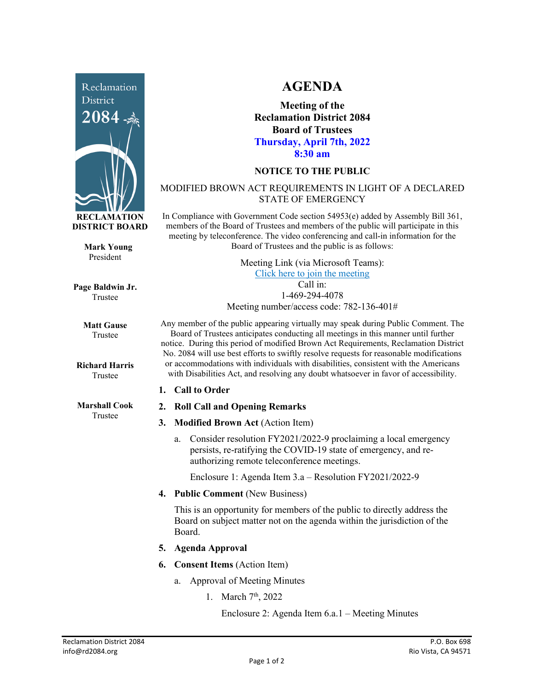

**Mark Young** President

**Page Baldwin Jr.** Trustee

> **Matt Gause** Trustee

**Richard Harris** Trustee

**Marshall Cook** Trustee

## **AGENDA**

**Meeting of the Reclamation District 2084 Board of Trustees Thursday, April 7th, 2022 8:30 am**

## **NOTICE TO THE PUBLIC**

## MODIFIED BROWN ACT REQUIREMENTS IN LIGHT OF A DECLARED STATE OF EMERGENCY

In Compliance with Government Code section 54953(e) added by Assembly Bill 361, members of the Board of Trustees and members of the public will participate in this meeting by teleconference. The video conferencing and call-in information for the Board of Trustees and the public is as follows:

> Meeting Link (via Microsoft Teams): [Click here to join the meeting](https://teams.microsoft.com/l/meetup-join/19%3ameeting_NzRkNTUwODUtNzk5Zi00YzkxLTk1YmEtNjU5OGZlZDk1OTcz%40thread.v2/0?context=%7b%22Tid%22%3a%22f9038203-c87c-4f0e-b326-970a381acd40%22%2c%22Oid%22%3a%22b6a515a8-4d0a-410e-b81a-1dc60ae8c01d%22%7d) Call in: 1-469-294-4078

Meeting number/access code: 782-136-401#

Any member of the public appearing virtually may speak during Public Comment. The Board of Trustees anticipates conducting all meetings in this manner until further notice. During this period of modified Brown Act Requirements, Reclamation District No. 2084 will use best efforts to swiftly resolve requests for reasonable modifications or accommodations with individuals with disabilities, consistent with the Americans with Disabilities Act, and resolving any doubt whatsoever in favor of accessibility.

- **1. Call to Order**
- **2. Roll Call and Opening Remarks**
- **3. Modified Brown Act** (Action Item)
	- a. Consider resolution FY2021/2022-9 proclaiming a local emergency persists, re-ratifying the COVID-19 state of emergency, and reauthorizing remote teleconference meetings.

Enclosure 1: Agenda Item 3.a – Resolution FY2021/2022-9

**4. Public Comment** (New Business)

This is an opportunity for members of the public to directly address the Board on subject matter not on the agenda within the jurisdiction of the Board.

- **5. Agenda Approval**
- **6. Consent Items** (Action Item)
	- a. Approval of Meeting Minutes
		- 1. March 7<sup>th</sup>, 2022

Enclosure 2: Agenda Item 6.a.1 – Meeting Minutes